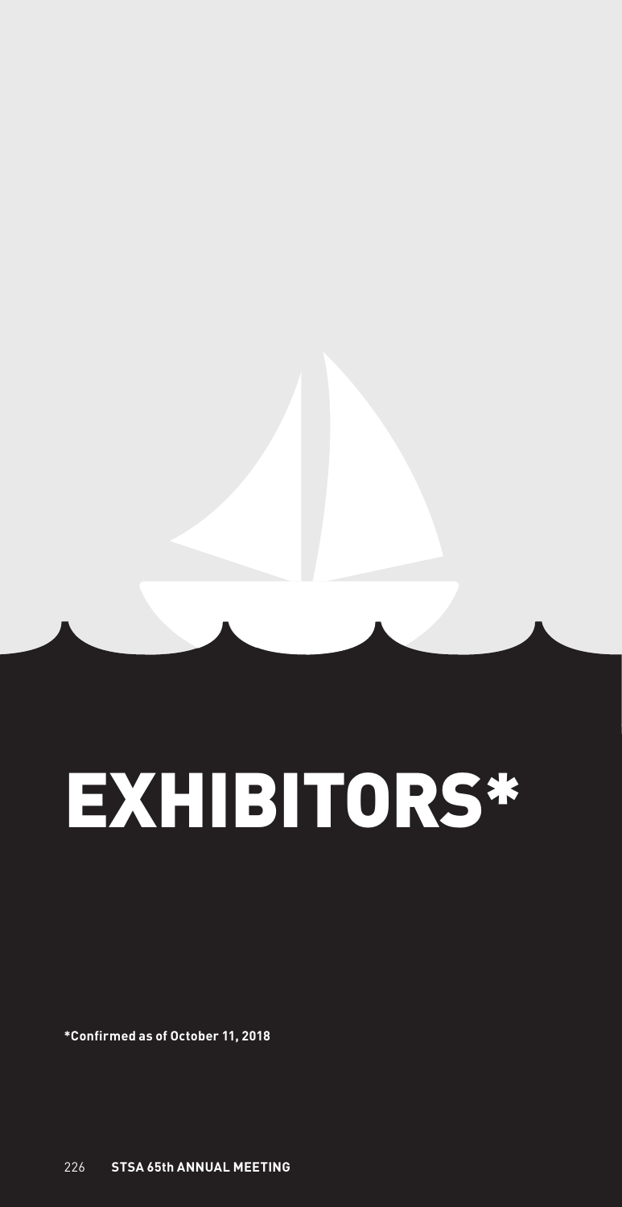

**\*Confirmed as of October 11, 2018**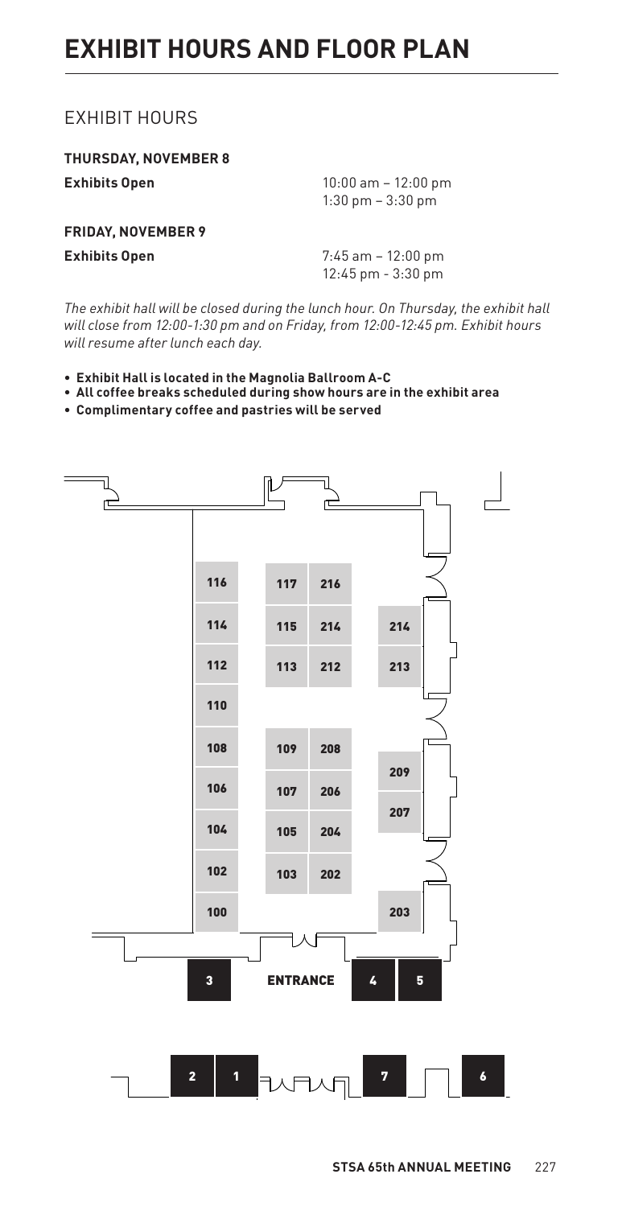# EXHIBIT HOURS

**THURSDAY, NOVEMBER 8 Exhibits Open** 10:00 am – 12:00 pm 1:30 pm – 3:30 pm **FRIDAY, NOVEMBER 9 Exhibits Open** 7:45 am – 12:00 pm 12:45 pm - 3:30 pm

*The exhibit hall will be closed during the lunch hour. On Thursday, the exhibit hall will close from 12:00-1:30 pm and on Friday, from 12:00-12:45 pm. Exhibit hours will resume after lunch each day.*   $\log$ 

- **Exhibit Hall is located in the Magnolia Ballroom A-C** STSA 2018
- **All coffee breaks scheduled during show hours are in the exhibit area**
- **Complimentary coffee and pastries will be served**



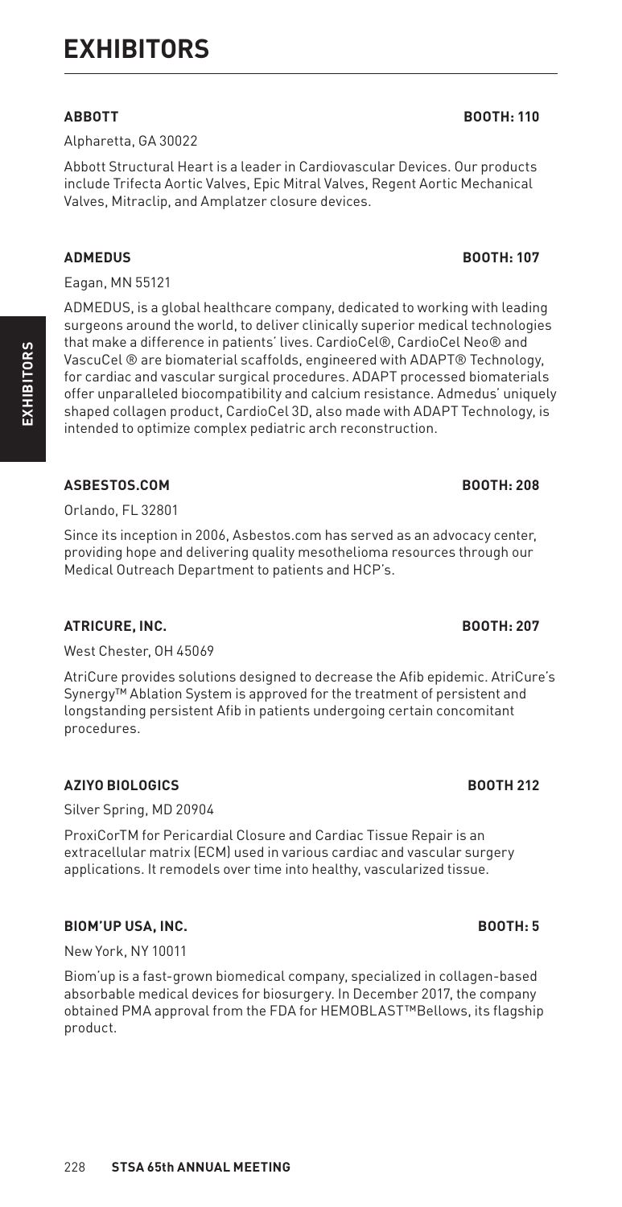Alpharetta, GA 30022

Abbott Structural Heart is a leader in Cardiovascular Devices. Our products include Trifecta Aortic Valves, Epic Mitral Valves, Regent Aortic Mechanical Valves, Mitraclip, and Amplatzer closure devices.

## **ADMEDUS BOOTH: 107**

Eagan, MN 55121

ADMEDUS, is a global healthcare company, dedicated to working with leading surgeons around the world, to deliver clinically superior medical technologies that make a difference in patients' lives. CardioCel®, CardioCel Neo® and VascuCel ® are biomaterial scaffolds, engineered with ADAPT® Technology, for cardiac and vascular surgical procedures. ADAPT processed biomaterials offer unparalleled biocompatibility and calcium resistance. Admedus' uniquely shaped collagen product, CardioCel 3D, also made with ADAPT Technology, is intended to optimize complex pediatric arch reconstruction.

## ASBESTOS.COM BOOTH: 208

Orlando, FL 32801

Since its inception in 2006, Asbestos.com has served as an advocacy center, providing hope and delivering quality mesothelioma resources through our Medical Outreach Department to patients and HCP's.

## **ATRICURE, INC. BOOTH: 207**

West Chester, OH 45069

AtriCure provides solutions designed to decrease the Afib epidemic. AtriCure's Synergy™ Ablation System is approved for the treatment of persistent and longstanding persistent Afib in patients undergoing certain concomitant procedures.

## **AZIYO BIOLOGICS BOOTH 212**

Silver Spring, MD 20904

ProxiCorTM for Pericardial Closure and Cardiac Tissue Repair is an extracellular matrix (ECM) used in various cardiac and vascular surgery applications. It remodels over time into healthy, vascularized tissue.

## **BIOM'UP USA, INC. BOOTH: 5**

New York, NY 10011

Biom'up is a fast-grown biomedical company, specialized in collagen-based absorbable medical devices for biosurgery. In December 2017, the company obtained PMA approval from the FDA for HEMOBLAST™Bellows, its flagship product.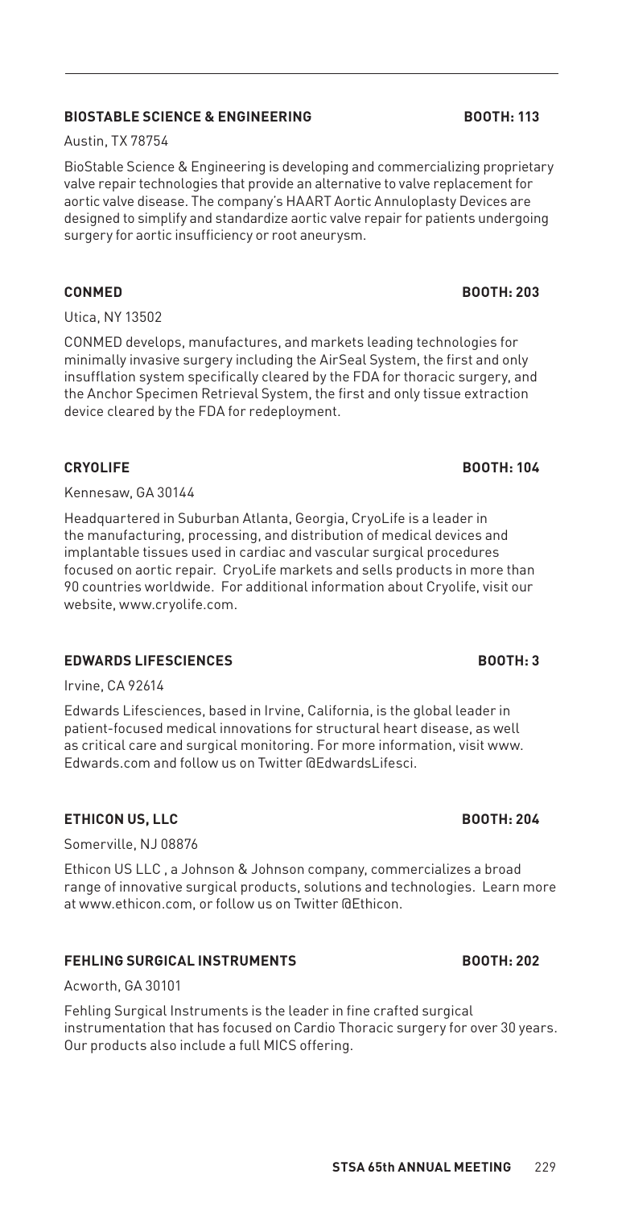## **BIOSTABLE SCIENCE & ENGINEERING BOOTH: 113**

Austin, TX 78754

BioStable Science & Engineering is developing and commercializing proprietary valve repair technologies that provide an alternative to valve replacement for aortic valve disease. The company's HAART Aortic Annuloplasty Devices are designed to simplify and standardize aortic valve repair for patients undergoing surgery for aortic insufficiency or root aneurysm.

Utica, NY 13502

CONMED develops, manufactures, and markets leading technologies for minimally invasive surgery including the AirSeal System, the first and only insufflation system specifically cleared by the FDA for thoracic surgery, and the Anchor Specimen Retrieval System, the first and only tissue extraction device cleared by the FDA for redeployment.

## **CRYOLIFE BOOTH: 104**

Kennesaw, GA 30144

Headquartered in Suburban Atlanta, Georgia, CryoLife is a leader in the manufacturing, processing, and distribution of medical devices and implantable tissues used in cardiac and vascular surgical procedures focused on aortic repair. CryoLife markets and sells products in more than 90 countries worldwide. For additional information about Cryolife, visit our website, www.cryolife.com.

## **EDWARDS LIFESCIENCES BOOTH: 3**

Irvine, CA 92614

Edwards Lifesciences, based in Irvine, California, is the global leader in patient-focused medical innovations for structural heart disease, as well as critical care and surgical monitoring. For more information, visit www. Edwards.com and follow us on Twitter @EdwardsLifesci.

## **ETHICON US, LLC BOOTH: 204**

Somerville, NJ 08876

Ethicon US LLC , a Johnson & Johnson company, commercializes a broad range of innovative surgical products, solutions and technologies. Learn more at www.ethicon.com, or follow us on Twitter @Ethicon.

## **FEHLING SURGICAL INSTRUMENTS BOOTH: 202**

Acworth, GA 30101

Fehling Surgical Instruments is the leader in fine crafted surgical instrumentation that has focused on Cardio Thoracic surgery for over 30 years. Our products also include a full MICS offering.

# **CONMED BOOTH: 203**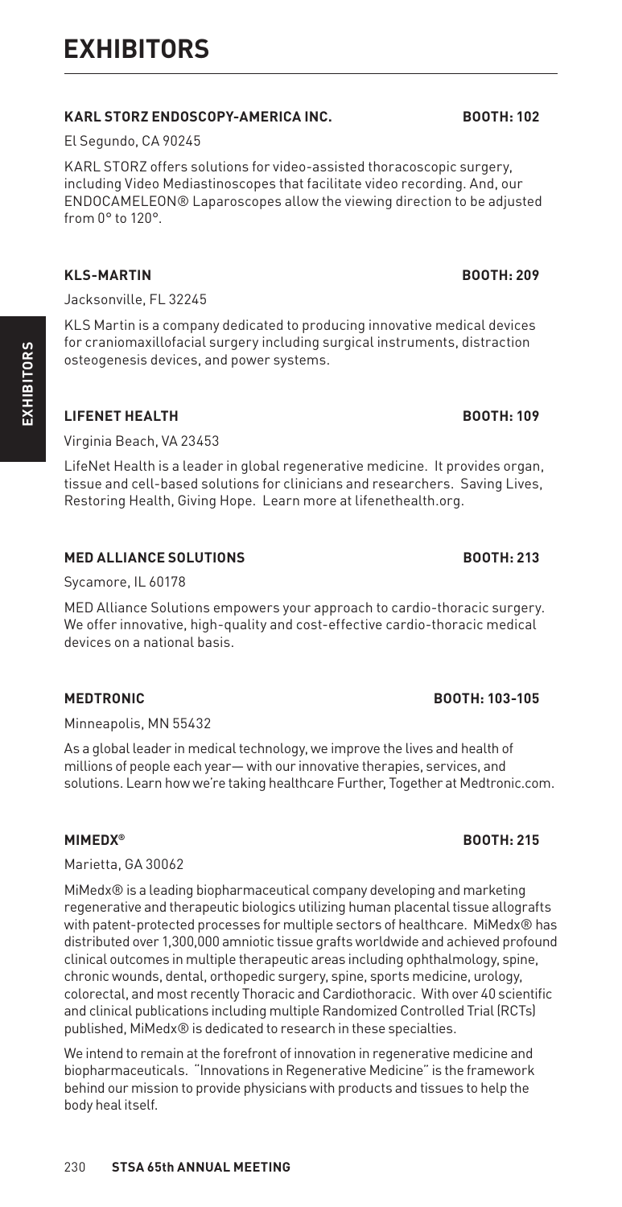230 **STSA 65th ANNUAL MEETING**

# **KARL STORZ ENDOSCOPY-AMERICA INC. BOOTH: 102**

El Segundo, CA 90245

KARL STORZ offers solutions for video-assisted thoracoscopic surgery, including Video Mediastinoscopes that facilitate video recording. And, our ENDOCAMELEON® Laparoscopes allow the viewing direction to be adjusted from 0° to 120°.

# **KLS-MARTIN BOOTH: 209**

Jacksonville, FL 32245

KLS Martin is a company dedicated to producing innovative medical devices for craniomaxillofacial surgery including surgical instruments, distraction osteogenesis devices, and power systems.

# **LIFENET HEALTH BOOTH: 109**

**EXHIBITORS**

**EXHIBITORS** 

Virginia Beach, VA 23453

LifeNet Health is a leader in global regenerative medicine. It provides organ, tissue and cell-based solutions for clinicians and researchers. Saving Lives, Restoring Health, Giving Hope. Learn more at lifenethealth.org.

# **MED ALLIANCE SOLUTIONS BOOTH: 213**

Sycamore, IL 60178

MED Alliance Solutions empowers your approach to cardio-thoracic surgery. We offer innovative, high-quality and cost-effective cardio-thoracic medical devices on a national basis.

# **MEDTRONIC BOOTH: 103-105**

Minneapolis, MN 55432

As a global leader in medical technology, we improve the lives and health of millions of people each year— with our innovative therapies, services, and solutions. Learn how we're taking healthcare Further, Together at Medtronic.com.

Marietta, GA 30062

MiMedx® is a leading biopharmaceutical company developing and marketing regenerative and therapeutic biologics utilizing human placental tissue allografts with patent-protected processes for multiple sectors of healthcare. MiMedx® has distributed over 1,300,000 amniotic tissue grafts worldwide and achieved profound clinical outcomes in multiple therapeutic areas including ophthalmology, spine, chronic wounds, dental, orthopedic surgery, spine, sports medicine, urology, colorectal, and most recently Thoracic and Cardiothoracic. With over 40 scientific and clinical publications including multiple Randomized Controlled Trial (RCTs) published, MiMedx® is dedicated to research in these specialties.

We intend to remain at the forefront of innovation in regenerative medicine and biopharmaceuticals. "Innovations in Regenerative Medicine" is the framework behind our mission to provide physicians with products and tissues to help the body heal itself.

## **MIMEDX® BOOTH: 215**